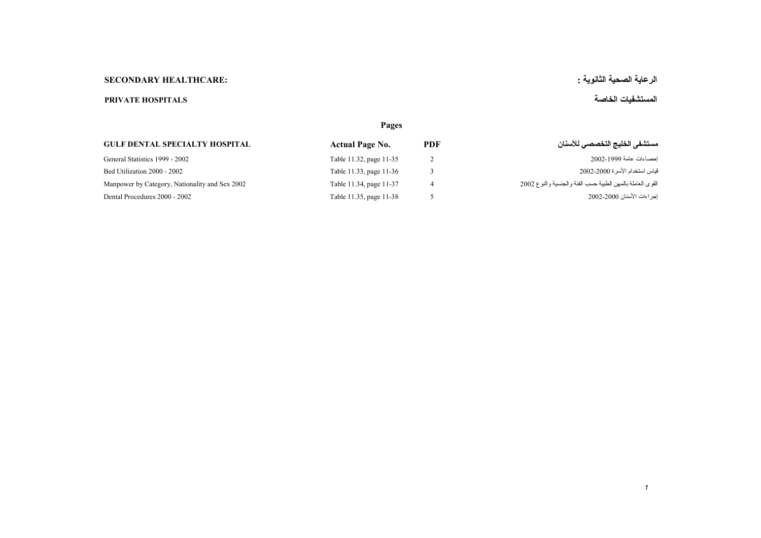## الرعاية الصحية الثانوية : :<br>الرعاية الصحية الثانوية :

## **المستشفيات الخاصة HOSPITALS PRIVATE**

|                                                | Pages                   |            |                                                             |  |
|------------------------------------------------|-------------------------|------------|-------------------------------------------------------------|--|
| <b>GULF DENTAL SPECIALTY HOSPITAL</b>          | <b>Actual Page No.</b>  | <b>PDF</b> | مستشفى الخليج التخصصي للأسنان                               |  |
| General Statistics 1999 - 2002                 | Table 11.32, page 11-35 |            | احصاءات عامة 1999-2002                                      |  |
| Bed Utilization 2000 - 2002                    | Table 11.33, page 11-36 |            | قياس استخدام الأسر ة 2000-2002                              |  |
| Manpower by Category, Nationality and Sex 2002 | Table 11.34, page 11-37 |            | القوى العاملة بالمهن الطبية حسب الفئة و الجنسية والنوع 2002 |  |
| Dental Procedures 2000 - 2002                  | Table 11.35, page 11-38 |            | إجراءات الأسنان 2000-2002                                   |  |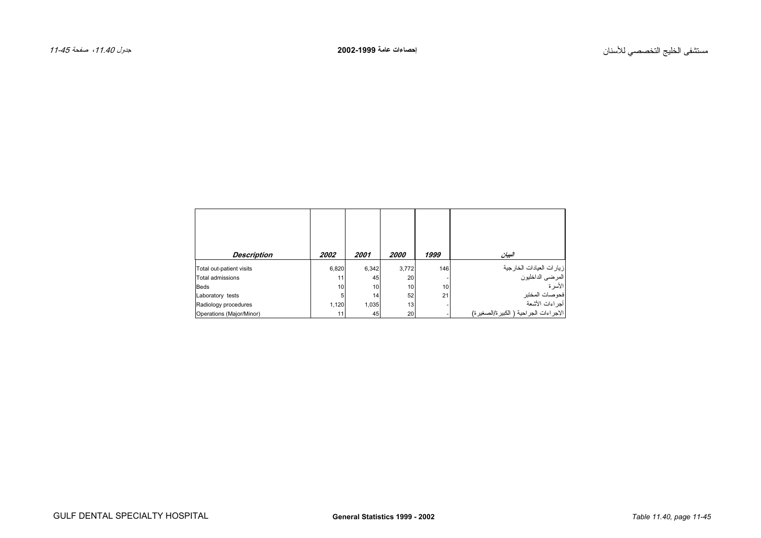<span id="page-1-0"></span>

| <b>Description</b>       | <i><b>2002</b></i> | 2001  | <i>2000</i> | 1999 | البيان                                                 |
|--------------------------|--------------------|-------|-------------|------|--------------------------------------------------------|
| Total out-patient visits | 6,820              | 6,342 | 3,772       | 146  | زيارات العيادات الخارجية<br>المرضى الداخليون<br>الأسرة |
| Total admissions         | 11                 | 45    | 20          |      |                                                        |
| <b>Beds</b>              | 10                 | 10    | 10          | 10   |                                                        |
| Laboratory tests         | 5                  | 14    | 52          | 21   | فحوصات المختبر                                         |
| Radiology procedures     | 1.120              | 1.035 | 13          |      | أجراءات الأشعة                                         |
| Operations (Major/Minor) | 11                 | 45    | 20          |      | الاجر اءات الجر احية ( الكبير ة/الصغير ة)              |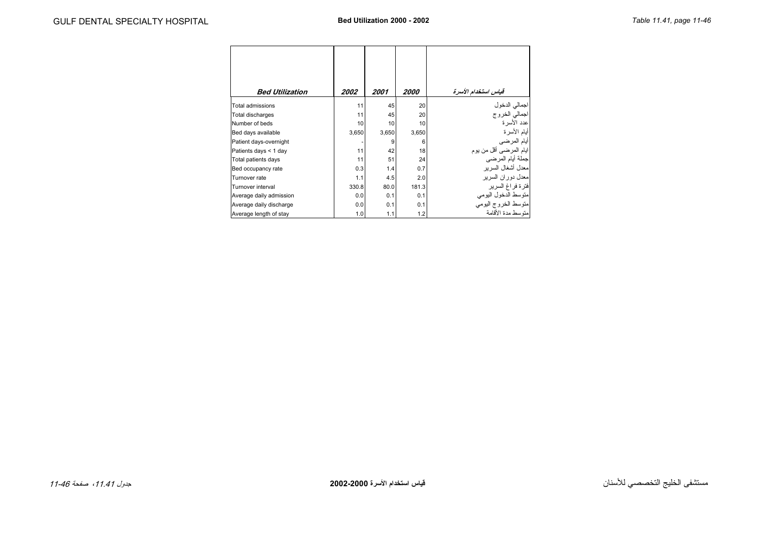<span id="page-2-0"></span>

| <b>Bed Utilization</b>  | <i><b>2002</b></i> | 2001  | <i><b>2000</b></i> | قياس استخدام الأسرة                          |
|-------------------------|--------------------|-------|--------------------|----------------------------------------------|
| Total admissions        | 11                 | 45    | 20                 | اجمالي الدخول<br>اجمالي الخروج<br>عدد الأسرة |
| Total discharges        | 11                 | 45    | 20                 |                                              |
| Number of beds          | 10                 | 10    | 10                 |                                              |
| Bed days available      | 3,650              | 3,650 | 3,650              | أيام الأسرة                                  |
| Patient days-overnight  |                    | 9     | 6                  | إأيام المرضى                                 |
| Patients days < 1 day   | 11                 | 42    | 18                 | ايام المرضى أقل من يوم                       |
| Total patients days     | 11                 | 51    | 24                 |                                              |
| Bed occupancy rate      | 0.3                | 1.4   | 0.7                | معدل أشغال السرير                            |
| Turnover rate           | 1.1                | 4.5   | 2.0                | معدل دوران السرير                            |
| Turnover interval       | 330.8              | 80.0  | 181.3              | فترة فراغ السرير                             |
| Average daily admission | 0.0                | 0.1   | 0.1                | متوسط الدخول اليومي                          |
| Average daily discharge | 0.0                | 0.1   | 0.1                | متوسط الخروج اليومي                          |
| Average length of stay  | 1.0                | 1.1   | 1.2                | منّه سط مدة الأقامة                          |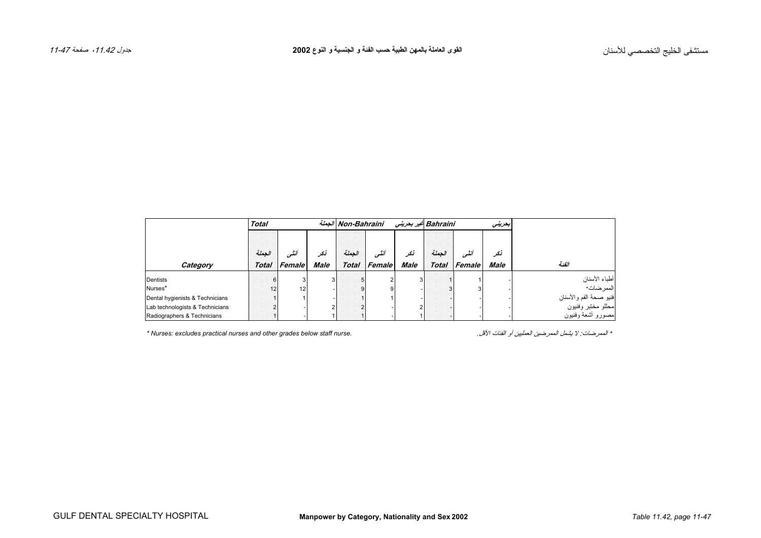<span id="page-3-0"></span>

|                                 | <b>Total</b> |                     |             | الجملة Non-Bahraini |              |             | Bahraini غیر بحرینی |              | ابحرينى     |                                              |
|---------------------------------|--------------|---------------------|-------------|---------------------|--------------|-------------|---------------------|--------------|-------------|----------------------------------------------|
|                                 | الحملة       | أننسى               | نكر         | الحملة              | أننسى        | نكر         | الحملة              | أنشى         | نکر         |                                              |
| Category                        |              | <b>Total Female</b> | <b>Male</b> |                     | Total Female | <b>Male</b> |                     | Total Female | <b>Male</b> | الفئة                                        |
| Dentists                        |              |                     |             |                     |              |             |                     |              |             | أطباء الأسنان                                |
| Nurses*                         | 12           | 12                  |             |                     |              |             |                     |              |             | .<br>الممر ضات*                              |
| Dental hygienists & Technicians |              |                     |             |                     |              |             |                     |              |             |                                              |
| Lab technologists & Technicians |              |                     |             |                     |              |             |                     |              |             | فنيو صحة الفم والأسنان<br>محللو مختبر وفنيون |
| Radiographers & Technicians     |              |                     |             |                     |              |             |                     |              |             | مصورو أشعة وفنيون                            |

*\* Nurses: excludes practical nurses and other grades below staff nurse.* .الأقل الفئات أو العمليين الممرضين یشمل لا :الممرضات\*